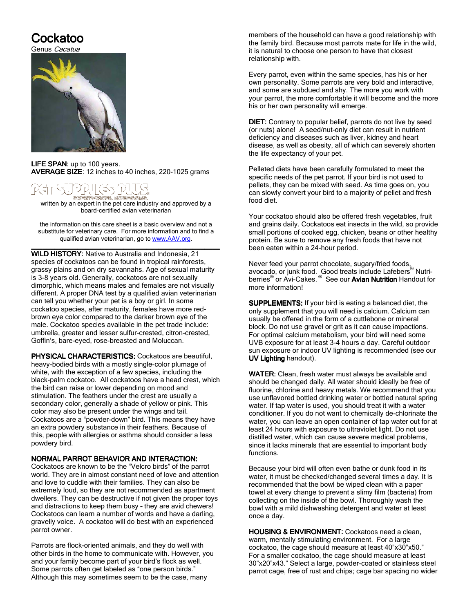# Cockatoo

Genus *Cacatua* 



LIFE SPAN: up to 100 years. AVERAGE SIZE: 12 inches to 40 inches, 220-1025 grams

## 시 건데 나 나 GREAT HRIGHAND BECCHAP

written by an expert in the pet care industry and approved by a board-certified avian veterinarian

the information on this care sheet is a basic overview and not a substitute for veterinary care. For more information and to find a qualified avian veterinarian, go to www.AAV.org. \_\_\_\_\_\_\_\_\_\_\_\_\_\_\_\_\_\_\_\_\_\_\_\_\_\_\_\_\_\_\_\_\_\_\_\_\_\_\_\_\_\_\_\_\_\_\_\_\_ \_\_\_\_\_\_\_\_\_\_\_\_\_\_\_\_\_\_\_\_\_\_\_\_\_\_\_\_\_\_\_\_\_\_\_\_\_\_\_\_\_\_\_\_\_\_\_\_\_

WILD HISTORY: Native to Australia and Indonesia, 21 species of cockatoos can be found in tropical rainforests, grassy plains and on dry savannahs. Age of sexual maturity is 3-8 years old. Generally, cockatoos are not sexually dimorphic, which means males and females are not visually different. A proper DNA test by a qualified avian veterinarian can tell you whether your pet is a boy or girl. In some cockatoo species, after maturity, females have more redbrown eye color compared to the darker brown eye of the male. Cockatoo species available in the pet trade include: umbrella, greater and lesser sulfur-crested, citron-crested, Goffin's, bare-eyed, rose-breasted and Moluccan.

PHYSICAL CHARACTERISTICS: Cockatoos are beautiful, heavy-bodied birds with a mostly single-color plumage of white, with the exception of a few species, including the black-palm cockatoo. All cockatoos have a head crest, which the bird can raise or lower depending on mood and stimulation. The feathers under the crest are usually a secondary color, generally a shade of yellow or pink. This color may also be present under the wings and tail. Cockatoos are a "powder-down" bird. This means they have an extra powdery substance in their feathers. Because of this, people with allergies or asthma should consider a less powdery bird.

#### NORMAL PARROT BEHAVIOR AND INTERACTION:

Cockatoos are known to be the "Velcro birds" of the parrot world. They are in almost constant need of love and attention and love to cuddle with their families. They can also be extremely loud, so they are not recommended as apartment dwellers. They can be destructive if not given the proper toys and distractions to keep them busy – they are avid chewers! Cockatoos can learn a number of words and have a darling, gravelly voice. A cockatoo will do best with an experienced parrot owner.

Parrots are flock-oriented animals, and they do well with other birds in the home to communicate with. However, you and your family become part of your bird's flock as well. Some parrots often get labeled as "one person birds." Although this may sometimes seem to be the case, many

members of the household can have a good relationship with the family bird. Because most parrots mate for life in the wild, it is natural to choose one person to have that closest relationship with.

Every parrot, even within the same species, has his or her own personality. Some parrots are very bold and interactive, and some are subdued and shy. The more you work with your parrot, the more comfortable it will become and the more his or her own personality will emerge.

DIET: Contrary to popular belief, parrots do not live by seed (or nuts) alone! A seed/nut-only diet can result in nutrient deficiency and diseases such as liver, kidney and heart disease, as well as obesity, all of which can severely shorten the life expectancy of your pet.

Pelleted diets have been carefully formulated to meet the specific needs of the pet parrot. If your bird is not used to pellets, they can be mixed with seed. As time goes on, you can slowly convert your bird to a majority of pellet and fresh food diet.

Your cockatoo should also be offered fresh vegetables, fruit and grains daily. Cockatoos eat insects in the wild, so provide small portions of cooked egg, chicken, beans or other healthy protein. Be sure to remove any fresh foods that have not been eaten within a 24-hour period.

Never feed your parrot chocolate, sugary/fried foods, avocado, or junk food. Good treats include Lafebers® Nutriberries<sup>®</sup> or Avi-Cakes.<sup>®</sup> See our Avian Nutrition Handout for more information!

SUPPLEMENTS: If your bird is eating a balanced diet, the only supplement that you will need is calcium. Calcium can usually be offered in the form of a cuttlebone or mineral block. Do not use gravel or grit as it can cause impactions. For optimal calcium metabolism, your bird will need some UVB exposure for at least 3-4 hours a day. Careful outdoor sun exposure or indoor UV lighting is recommended (see our UV Lighting handout).

WATER: Clean, fresh water must always be available and should be changed daily. All water should ideally be free of fluorine, chlorine and heavy metals. We recommend that you use unflavored bottled drinking water or bottled natural spring water. If tap water is used, you should treat it with a water conditioner. If you do not want to chemically de-chlorinate the water, you can leave an open container of tap water out for at least 24 hours with exposure to ultraviolet light. Do not use distilled water, which can cause severe medical problems, since it lacks minerals that are essential to important body functions.

Because your bird will often even bathe or dunk food in its water, it must be checked/changed several times a day. It is recommended that the bowl be wiped clean with a paper towel at every change to prevent a slimy film (bacteria) from collecting on the inside of the bowl. Thoroughly wash the bowl with a mild dishwashing detergent and water at least once a day.

HOUSING & ENVIRONMENT: Cockatoos need a clean, warm, mentally stimulating environment. For a large cockatoo, the cage should measure at least 40"x30"x50." For a smaller cockatoo, the cage should measure at least 30"x20"x43." Select a large, powder-coated or stainless steel parrot cage, free of rust and chips; cage bar spacing no wider